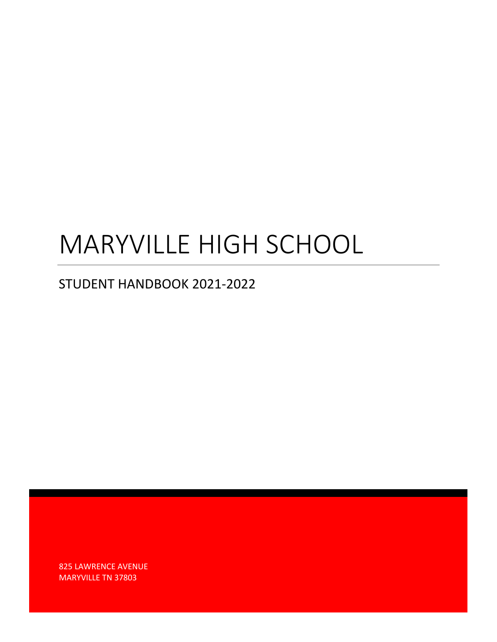# MARYVILLE HIGH SCHOOL

# STUDENT HANDBOOK 2021-2022

825 LAWRENCE AVENUE MARYVILLE TN 37803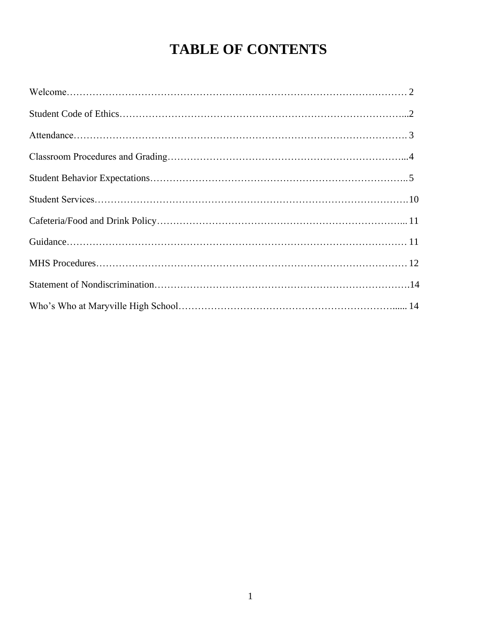# **TABLE OF CONTENTS**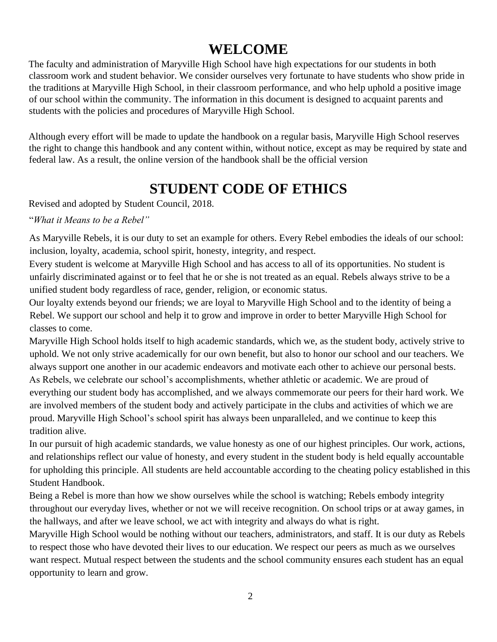# **WELCOME**

The faculty and administration of Maryville High School have high expectations for our students in both classroom work and student behavior. We consider ourselves very fortunate to have students who show pride in the traditions at Maryville High School, in their classroom performance, and who help uphold a positive image of our school within the community. The information in this document is designed to acquaint parents and students with the policies and procedures of Maryville High School.

Although every effort will be made to update the handbook on a regular basis, Maryville High School reserves the right to change this handbook and any content within, without notice, except as may be required by state and federal law. As a result, the online version of the handbook shall be the official version

# **STUDENT CODE OF ETHICS**

Revised and adopted by Student Council, 2018.

"*What it Means to be a Rebel"*

As Maryville Rebels, it is our duty to set an example for others. Every Rebel embodies the ideals of our school: inclusion, loyalty, academia, school spirit, honesty, integrity, and respect.

Every student is welcome at Maryville High School and has access to all of its opportunities. No student is unfairly discriminated against or to feel that he or she is not treated as an equal. Rebels always strive to be a unified student body regardless of race, gender, religion, or economic status.

Our loyalty extends beyond our friends; we are loyal to Maryville High School and to the identity of being a Rebel. We support our school and help it to grow and improve in order to better Maryville High School for classes to come.

Maryville High School holds itself to high academic standards, which we, as the student body, actively strive to uphold. We not only strive academically for our own benefit, but also to honor our school and our teachers. We always support one another in our academic endeavors and motivate each other to achieve our personal bests. As Rebels, we celebrate our school's accomplishments, whether athletic or academic. We are proud of everything our student body has accomplished, and we always commemorate our peers for their hard work. We are involved members of the student body and actively participate in the clubs and activities of which we are proud. Maryville High School's school spirit has always been unparalleled, and we continue to keep this tradition alive.

In our pursuit of high academic standards, we value honesty as one of our highest principles. Our work, actions, and relationships reflect our value of honesty, and every student in the student body is held equally accountable for upholding this principle. All students are held accountable according to the cheating policy established in this Student Handbook.

Being a Rebel is more than how we show ourselves while the school is watching; Rebels embody integrity throughout our everyday lives, whether or not we will receive recognition. On school trips or at away games, in the hallways, and after we leave school, we act with integrity and always do what is right.

Maryville High School would be nothing without our teachers, administrators, and staff. It is our duty as Rebels to respect those who have devoted their lives to our education. We respect our peers as much as we ourselves want respect. Mutual respect between the students and the school community ensures each student has an equal opportunity to learn and grow.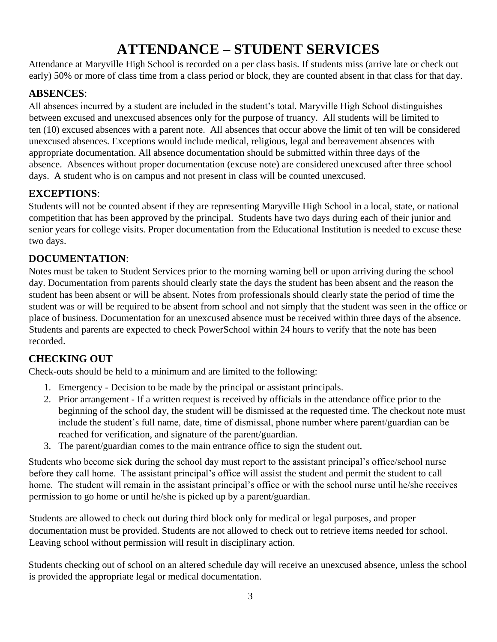# **ATTENDANCE – STUDENT SERVICES**

Attendance at Maryville High School is recorded on a per class basis. If students miss (arrive late or check out early) 50% or more of class time from a class period or block, they are counted absent in that class for that day.

# **ABSENCES**:

All absences incurred by a student are included in the student's total. Maryville High School distinguishes between excused and unexcused absences only for the purpose of truancy. All students will be limited to ten (10) excused absences with a parent note. All absences that occur above the limit of ten will be considered unexcused absences. Exceptions would include medical, religious, legal and bereavement absences with appropriate documentation. All absence documentation should be submitted within three days of the absence. Absences without proper documentation (excuse note) are considered unexcused after three school days. A student who is on campus and not present in class will be counted unexcused.

# **EXCEPTIONS**:

Students will not be counted absent if they are representing Maryville High School in a local, state, or national competition that has been approved by the principal. Students have two days during each of their junior and senior years for college visits. Proper documentation from the Educational Institution is needed to excuse these two days.

# **DOCUMENTATION**:

Notes must be taken to Student Services prior to the morning warning bell or upon arriving during the school day. Documentation from parents should clearly state the days the student has been absent and the reason the student has been absent or will be absent. Notes from professionals should clearly state the period of time the student was or will be required to be absent from school and not simply that the student was seen in the office or place of business. Documentation for an unexcused absence must be received within three days of the absence. Students and parents are expected to check PowerSchool within 24 hours to verify that the note has been recorded.

# **CHECKING OUT**

Check-outs should be held to a minimum and are limited to the following:

- 1. Emergency Decision to be made by the principal or assistant principals.
- 2. Prior arrangement If a written request is received by officials in the attendance office prior to the beginning of the school day, the student will be dismissed at the requested time. The checkout note must include the student's full name, date, time of dismissal, phone number where parent/guardian can be reached for verification, and signature of the parent/guardian.
- 3. The parent/guardian comes to the main entrance office to sign the student out.

Students who become sick during the school day must report to the assistant principal's office/school nurse before they call home. The assistant principal's office will assist the student and permit the student to call home. The student will remain in the assistant principal's office or with the school nurse until he/she receives permission to go home or until he/she is picked up by a parent/guardian.

Students are allowed to check out during third block only for medical or legal purposes, and proper documentation must be provided. Students are not allowed to check out to retrieve items needed for school. Leaving school without permission will result in disciplinary action.

Students checking out of school on an altered schedule day will receive an unexcused absence, unless the school is provided the appropriate legal or medical documentation.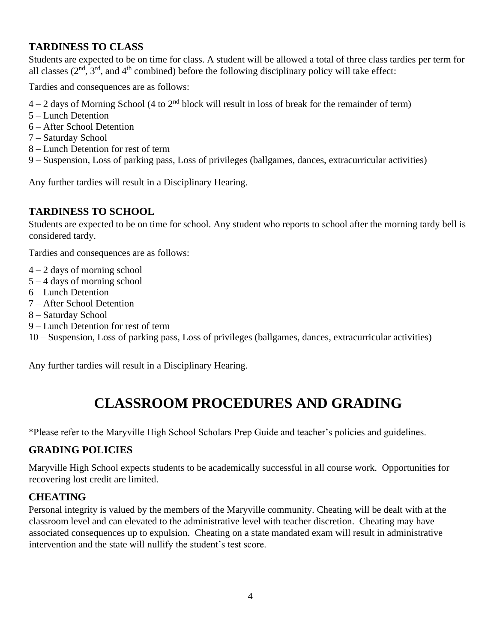### **TARDINESS TO CLASS**

Students are expected to be on time for class. A student will be allowed a total of three class tardies per term for all classes  $(2<sup>nd</sup>, 3<sup>rd</sup>, and 4<sup>th</sup> combined) before the following discriminary policy will take effect:$ 

Tardies and consequences are as follows:

- $4 2$  days of Morning School (4 to  $2<sup>nd</sup>$  block will result in loss of break for the remainder of term)
- 5 Lunch Detention
- 6 After School Detention
- 7 Saturday School
- 8 Lunch Detention for rest of term
- 9 Suspension, Loss of parking pass, Loss of privileges (ballgames, dances, extracurricular activities)

Any further tardies will result in a Disciplinary Hearing.

#### **TARDINESS TO SCHOOL**

Students are expected to be on time for school. Any student who reports to school after the morning tardy bell is considered tardy.

Tardies and consequences are as follows:

- $4 2$  days of morning school
- 5 4 days of morning school
- 6 Lunch Detention
- 7 After School Detention
- 8 Saturday School
- 9 Lunch Detention for rest of term

10 – Suspension, Loss of parking pass, Loss of privileges (ballgames, dances, extracurricular activities)

Any further tardies will result in a Disciplinary Hearing.

# **CLASSROOM PROCEDURES AND GRADING**

\*Please refer to the Maryville High School Scholars Prep Guide and teacher's policies and guidelines.

#### **GRADING POLICIES**

Maryville High School expects students to be academically successful in all course work. Opportunities for recovering lost credit are limited.

# **CHEATING**

Personal integrity is valued by the members of the Maryville community. Cheating will be dealt with at the classroom level and can elevated to the administrative level with teacher discretion. Cheating may have associated consequences up to expulsion. Cheating on a state mandated exam will result in administrative intervention and the state will nullify the student's test score.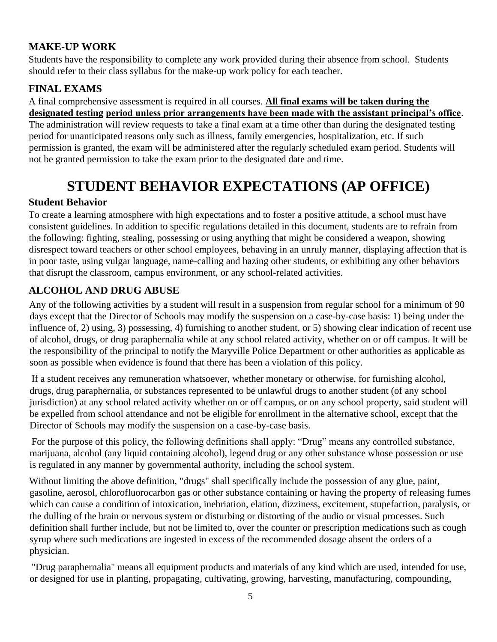# **MAKE-UP WORK**

Students have the responsibility to complete any work provided during their absence from school. Students should refer to their class syllabus for the make-up work policy for each teacher.

# **FINAL EXAMS**

#### A final comprehensive assessment is required in all courses. **All final exams will be taken during the designated testing period unless prior arrangements have been made with the assistant principal's office**.

The administration will review requests to take a final exam at a time other than during the designated testing period for unanticipated reasons only such as illness, family emergencies, hospitalization, etc. If such permission is granted, the exam will be administered after the regularly scheduled exam period. Students will not be granted permission to take the exam prior to the designated date and time.

# **STUDENT BEHAVIOR EXPECTATIONS (AP OFFICE)**

#### **Student Behavior**

To create a learning atmosphere with high expectations and to foster a positive attitude, a school must have consistent guidelines. In addition to specific regulations detailed in this document, students are to refrain from the following: fighting, stealing, possessing or using anything that might be considered a weapon, showing disrespect toward teachers or other school employees, behaving in an unruly manner, displaying affection that is in poor taste, using vulgar language, name-calling and hazing other students, or exhibiting any other behaviors that disrupt the classroom, campus environment, or any school-related activities.

# **ALCOHOL AND DRUG ABUSE**

Any of the following activities by a student will result in a suspension from regular school for a minimum of 90 days except that the Director of Schools may modify the suspension on a case-by-case basis: 1) being under the influence of, 2) using, 3) possessing, 4) furnishing to another student, or 5) showing clear indication of recent use of alcohol, drugs, or drug paraphernalia while at any school related activity, whether on or off campus. It will be the responsibility of the principal to notify the Maryville Police Department or other authorities as applicable as soon as possible when evidence is found that there has been a violation of this policy.

If a student receives any remuneration whatsoever, whether monetary or otherwise, for furnishing alcohol, drugs, drug paraphernalia, or substances represented to be unlawful drugs to another student (of any school jurisdiction) at any school related activity whether on or off campus, or on any school property, said student will be expelled from school attendance and not be eligible for enrollment in the alternative school, except that the Director of Schools may modify the suspension on a case-by-case basis.

For the purpose of this policy, the following definitions shall apply: "Drug" means any controlled substance, marijuana, alcohol (any liquid containing alcohol), legend drug or any other substance whose possession or use is regulated in any manner by governmental authority, including the school system.

Without limiting the above definition, "drugs" shall specifically include the possession of any glue, paint, gasoline, aerosol, chlorofluorocarbon gas or other substance containing or having the property of releasing fumes which can cause a condition of intoxication, inebriation, elation, dizziness, excitement, stupefaction, paralysis, or the dulling of the brain or nervous system or disturbing or distorting of the audio or visual processes. Such definition shall further include, but not be limited to, over the counter or prescription medications such as cough syrup where such medications are ingested in excess of the recommended dosage absent the orders of a physician.

"Drug paraphernalia" means all equipment products and materials of any kind which are used, intended for use, or designed for use in planting, propagating, cultivating, growing, harvesting, manufacturing, compounding,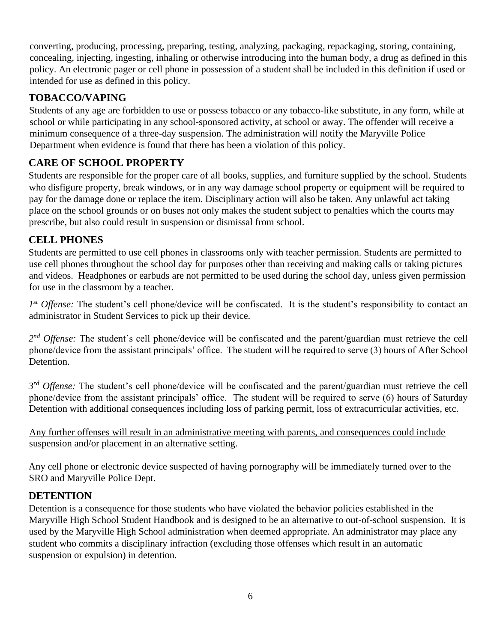converting, producing, processing, preparing, testing, analyzing, packaging, repackaging, storing, containing, concealing, injecting, ingesting, inhaling or otherwise introducing into the human body, a drug as defined in this policy. An electronic pager or cell phone in possession of a student shall be included in this definition if used or intended for use as defined in this policy.

# **TOBACCO/VAPING**

Students of any age are forbidden to use or possess tobacco or any tobacco-like substitute, in any form, while at school or while participating in any school-sponsored activity, at school or away. The offender will receive a minimum consequence of a three-day suspension. The administration will notify the Maryville Police Department when evidence is found that there has been a violation of this policy.

# **CARE OF SCHOOL PROPERTY**

Students are responsible for the proper care of all books, supplies, and furniture supplied by the school. Students who disfigure property, break windows, or in any way damage school property or equipment will be required to pay for the damage done or replace the item. Disciplinary action will also be taken. Any unlawful act taking place on the school grounds or on buses not only makes the student subject to penalties which the courts may prescribe, but also could result in suspension or dismissal from school.

# **CELL PHONES**

Students are permitted to use cell phones in classrooms only with teacher permission. Students are permitted to use cell phones throughout the school day for purposes other than receiving and making calls or taking pictures and videos. Headphones or earbuds are not permitted to be used during the school day, unless given permission for use in the classroom by a teacher.

1<sup>st</sup> Offense: The student's cell phone/device will be confiscated. It is the student's responsibility to contact an administrator in Student Services to pick up their device.

2<sup>nd</sup> Offense: The student's cell phone/device will be confiscated and the parent/guardian must retrieve the cell phone/device from the assistant principals' office. The student will be required to serve (3) hours of After School Detention.

*3 rd Offense:* The student's cell phone/device will be confiscated and the parent/guardian must retrieve the cell phone/device from the assistant principals' office. The student will be required to serve (6) hours of Saturday Detention with additional consequences including loss of parking permit, loss of extracurricular activities, etc.

Any further offenses will result in an administrative meeting with parents, and consequences could include suspension and/or placement in an alternative setting.

Any cell phone or electronic device suspected of having pornography will be immediately turned over to the SRO and Maryville Police Dept.

# **DETENTION**

Detention is a consequence for those students who have violated the behavior policies established in the Maryville High School Student Handbook and is designed to be an alternative to out-of-school suspension. It is used by the Maryville High School administration when deemed appropriate. An administrator may place any student who commits a disciplinary infraction (excluding those offenses which result in an automatic suspension or expulsion) in detention.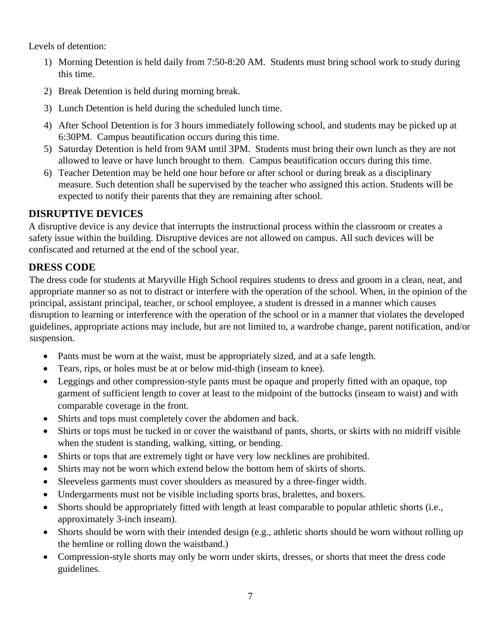Levels of detention:

- 1) Morning Detention is held daily from 7:50-8:20 AM. Students must bring school work to study during this time.
- 2) Break Detention is held during morning break.
- 3) Lunch Detention is held during the scheduled lunch time.
- 4) After School Detention is for 3 hours immediately following school, and students may be picked up at 6:30PM. Campus beautification occurs during this time.
- 5) Saturday Detention is held from 9AM until 3PM. Students must bring their own lunch as they are not allowed to leave or have lunch brought to them. Campus beautification occurs during this time.
- 6) Teacher Detention may be held one hour before or after school or during break as a disciplinary measure. Such detention shall be supervised by the teacher who assigned this action. Students will be expected to notify their parents that they are remaining after school.

#### **DISRUPTIVE DEVICES**

A disruptive device is any device that interrupts the instructional process within the classroom or creates a safety issue within the building. Disruptive devices are not allowed on campus. All such devices will be confiscated and returned at the end of the school year.

#### **DRESS CODE**

The dress code for students at Maryville High School requires students to dress and groom in a clean, neat, and appropriate manner so as not to distract or interfere with the operation of the school. When, in the opinion of the principal, assistant principal, teacher, or school employee, a student is dressed in a manner which causes disruption to learning or interference with the operation of the school or in a manner that violates the developed guidelines, appropriate actions may include, but are not limited to, a wardrobe change, parent notification, and/or suspension.

- Pants must be worn at the waist, must be appropriately sized, and at a safe length.
- Tears, rips, or holes must be at or below mid-thigh (inseam to knee).
- Leggings and other compression-style pants must be opaque and properly fitted with an opaque, top garment of sufficient length to cover at least to the midpoint of the buttocks (inseam to waist) and with comparable coverage in the front.
- Shirts and tops must completely cover the abdomen and back.
- Shirts or tops must be tucked in or cover the waistband of pants, shorts, or skirts with no midriff visible when the student is standing, walking, sitting, or bending.
- Shirts or tops that are extremely tight or have very low necklines are prohibited.
- Shirts may not be worn which extend below the bottom hem of skirts of shorts.
- Sleeveless garments must cover shoulders as measured by a three-finger width.
- Undergarments must not be visible including sports bras, bralettes, and boxers.
- Shorts should be appropriately fitted with length at least comparable to popular athletic shorts (i.e., approximately 3-inch inseam).
- Shorts should be worn with their intended design (e.g., athletic shorts should be worn without rolling up the hemline or rolling down the waistband.)
- Compression-style shorts may only be worn under skirts, dresses, or shorts that meet the dress code guidelines.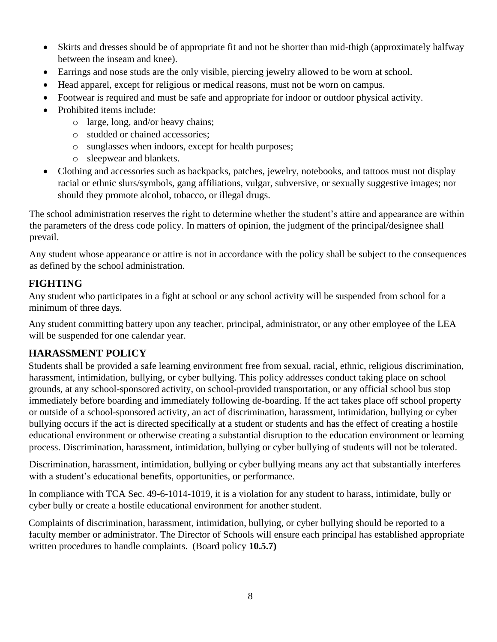- Skirts and dresses should be of appropriate fit and not be shorter than mid-thigh (approximately halfway between the inseam and knee).
- Earrings and nose studs are the only visible, piercing jewelry allowed to be worn at school.
- Head apparel, except for religious or medical reasons, must not be worn on campus.
- Footwear is required and must be safe and appropriate for indoor or outdoor physical activity.
- Prohibited items include:
	- o large, long, and/or heavy chains;
	- o studded or chained accessories;
	- o sunglasses when indoors, except for health purposes;
	- o sleepwear and blankets.
- Clothing and accessories such as backpacks, patches, jewelry, notebooks, and tattoos must not display racial or ethnic slurs/symbols, gang affiliations, vulgar, subversive, or sexually suggestive images; nor should they promote alcohol, tobacco, or illegal drugs.

The school administration reserves the right to determine whether the student's attire and appearance are within the parameters of the dress code policy. In matters of opinion, the judgment of the principal/designee shall prevail.

Any student whose appearance or attire is not in accordance with the policy shall be subject to the consequences as defined by the school administration.

#### **FIGHTING**

Any student who participates in a fight at school or any school activity will be suspended from school for a minimum of three days.

Any student committing battery upon any teacher, principal, administrator, or any other employee of the LEA will be suspended for one calendar year.

# **HARASSMENT POLICY**

Students shall be provided a safe learning environment free from sexual, racial, ethnic, religious discrimination, harassment, intimidation, bullying, or cyber bullying. This policy addresses conduct taking place on school grounds, at any school-sponsored activity, on school-provided transportation, or any official school bus stop immediately before boarding and immediately following de-boarding. If the act takes place off school property or outside of a school-sponsored activity, an act of discrimination, harassment, intimidation, bullying or cyber bullying occurs if the act is directed specifically at a student or students and has the effect of creating a hostile educational environment or otherwise creating a substantial disruption to the education environment or learning process. Discrimination, harassment, intimidation, bullying or cyber bullying of students will not be tolerated.

Discrimination, harassment, intimidation, bullying or cyber bullying means any act that substantially interferes with a student's educational benefits, opportunities, or performance.

In compliance with TCA Sec. 49-6-1014-1019, it is a violation for any student to harass, intimidate, bully or cyber bully or create a hostile educational environment for another student.

Complaints of discrimination, harassment, intimidation, bullying, or cyber bullying should be reported to a faculty member or administrator. The Director of Schools will ensure each principal has established appropriate written procedures to handle complaints. (Board policy **10.5.7)**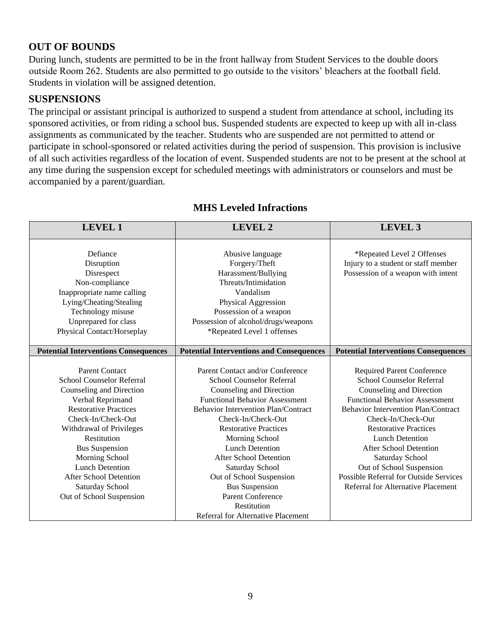#### **OUT OF BOUNDS**

During lunch, students are permitted to be in the front hallway from Student Services to the double doors outside Room 262. Students are also permitted to go outside to the visitors' bleachers at the football field. Students in violation will be assigned detention.

#### **SUSPENSIONS**

The principal or assistant principal is authorized to suspend a student from attendance at school, including its sponsored activities, or from riding a school bus. Suspended students are expected to keep up with all in-class assignments as communicated by the teacher. Students who are suspended are not permitted to attend or participate in school-sponsored or related activities during the period of suspension. This provision is inclusive of all such activities regardless of the location of event. Suspended students are not to be present at the school at any time during the suspension except for scheduled meetings with administrators or counselors and must be accompanied by a parent/guardian.

| <b>LEVEL 1</b>                                                                                                                                                                                                                                                                                                                                           | <b>LEVEL 2</b>                                                                                                                                                                                                                                                                                                                                                                                                                  | <b>LEVEL 3</b>                                                                                                                                                                                                                                                                                                                                                                                                                                  |
|----------------------------------------------------------------------------------------------------------------------------------------------------------------------------------------------------------------------------------------------------------------------------------------------------------------------------------------------------------|---------------------------------------------------------------------------------------------------------------------------------------------------------------------------------------------------------------------------------------------------------------------------------------------------------------------------------------------------------------------------------------------------------------------------------|-------------------------------------------------------------------------------------------------------------------------------------------------------------------------------------------------------------------------------------------------------------------------------------------------------------------------------------------------------------------------------------------------------------------------------------------------|
| Defiance<br>Disruption<br>Disrespect<br>Non-compliance<br>Inappropriate name calling<br>Lying/Cheating/Stealing<br>Technology misuse<br>Unprepared for class<br>Physical Contact/Horseplay                                                                                                                                                               | Abusive language<br>Forgery/Theft<br>Harassment/Bullying<br>Threats/Intimidation<br>Vandalism<br>Physical Aggression<br>Possession of a weapon<br>Possession of alcohol/drugs/weapons<br>*Repeated Level 1 offenses                                                                                                                                                                                                             | *Repeated Level 2 Offenses<br>Injury to a student or staff member<br>Possession of a weapon with intent                                                                                                                                                                                                                                                                                                                                         |
| <b>Potential Interventions Consequences</b>                                                                                                                                                                                                                                                                                                              | <b>Potential Interventions and Consequences</b>                                                                                                                                                                                                                                                                                                                                                                                 | <b>Potential Interventions Consequences</b>                                                                                                                                                                                                                                                                                                                                                                                                     |
| <b>Parent Contact</b><br><b>School Counselor Referral</b><br>Counseling and Direction<br>Verbal Reprimand<br><b>Restorative Practices</b><br>Check-In/Check-Out<br>Withdrawal of Privileges<br>Restitution<br><b>Bus Suspension</b><br>Morning School<br><b>Lunch Detention</b><br>After School Detention<br>Saturday School<br>Out of School Suspension | Parent Contact and/or Conference<br>School Counselor Referral<br>Counseling and Direction<br><b>Functional Behavior Assessment</b><br><b>Behavior Intervention Plan/Contract</b><br>Check-In/Check-Out<br><b>Restorative Practices</b><br>Morning School<br><b>Lunch Detention</b><br>After School Detention<br>Saturday School<br>Out of School Suspension<br><b>Bus Suspension</b><br><b>Parent Conference</b><br>Restitution | <b>Required Parent Conference</b><br><b>School Counselor Referral</b><br>Counseling and Direction<br><b>Functional Behavior Assessment</b><br><b>Behavior Intervention Plan/Contract</b><br>Check-In/Check-Out<br><b>Restorative Practices</b><br><b>Lunch Detention</b><br><b>After School Detention</b><br>Saturday School<br>Out of School Suspension<br><b>Possible Referral for Outside Services</b><br>Referral for Alternative Placement |

#### **MHS Leveled Infractions**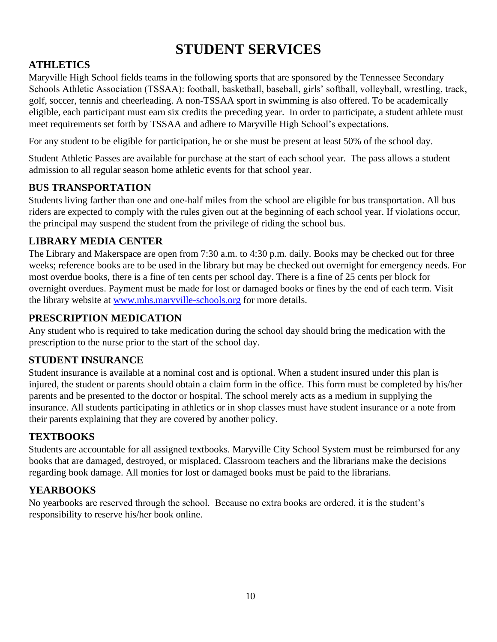# **STUDENT SERVICES**

# **ATHLETICS**

Maryville High School fields teams in the following sports that are sponsored by the Tennessee Secondary Schools Athletic Association (TSSAA): football, basketball, baseball, girls' softball, volleyball, wrestling, track, golf, soccer, tennis and cheerleading. A non-TSSAA sport in swimming is also offered. To be academically eligible, each participant must earn six credits the preceding year. In order to participate, a student athlete must meet requirements set forth by TSSAA and adhere to Maryville High School's expectations.

For any student to be eligible for participation, he or she must be present at least 50% of the school day.

Student Athletic Passes are available for purchase at the start of each school year. The pass allows a student admission to all regular season home athletic events for that school year.

# **BUS TRANSPORTATION**

Students living farther than one and one-half miles from the school are eligible for bus transportation. All bus riders are expected to comply with the rules given out at the beginning of each school year. If violations occur, the principal may suspend the student from the privilege of riding the school bus.

# **LIBRARY MEDIA CENTER**

The Library and Makerspace are open from 7:30 a.m. to 4:30 p.m. daily. Books may be checked out for three weeks; reference books are to be used in the library but may be checked out overnight for emergency needs. For most overdue books, there is a fine of ten cents per school day. There is a fine of 25 cents per block for overnight overdues. Payment must be made for lost or damaged books or fines by the end of each term. Visit the library website at www.mhs.maryville-schools.or[g](http://www.maryvillehighschool.org/) for more details.

# **PRESCRIPTION MEDICATION**

Any student who is required to take medication during the school day should bring the medication with the prescription to the nurse prior to the start of the school day.

# **STUDENT INSURANCE**

Student insurance is available at a nominal cost and is optional. When a student insured under this plan is injured, the student or parents should obtain a claim form in the office. This form must be completed by his/her parents and be presented to the doctor or hospital. The school merely acts as a medium in supplying the insurance. All students participating in athletics or in shop classes must have student insurance or a note from their parents explaining that they are covered by another policy.

# **TEXTBOOKS**

Students are accountable for all assigned textbooks. Maryville City School System must be reimbursed for any books that are damaged, destroyed, or misplaced. Classroom teachers and the librarians make the decisions regarding book damage. All monies for lost or damaged books must be paid to the librarians.

# **YEARBOOKS**

No yearbooks are reserved through the school. Because no extra books are ordered, it is the student's responsibility to reserve his/her book online.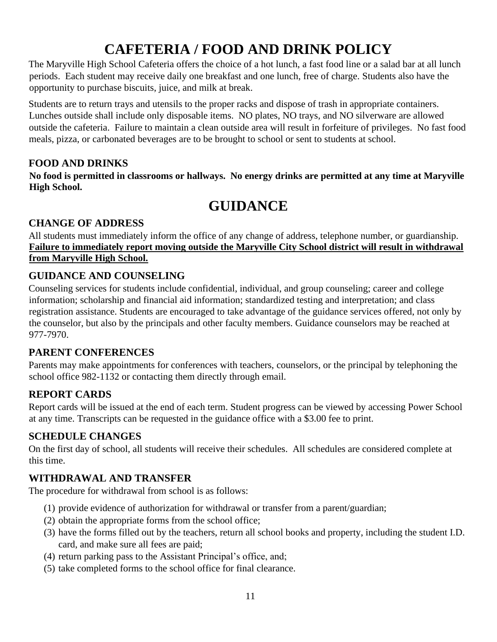# **CAFETERIA / FOOD AND DRINK POLICY**

The Maryville High School Cafeteria offers the choice of a hot lunch, a fast food line or a salad bar at all lunch periods. Each student may receive daily one breakfast and one lunch, free of charge. Students also have the opportunity to purchase biscuits, juice, and milk at break.

Students are to return trays and utensils to the proper racks and dispose of trash in appropriate containers. Lunches outside shall include only disposable items. NO plates, NO trays, and NO silverware are allowed outside the cafeteria. Failure to maintain a clean outside area will result in forfeiture of privileges. No fast food meals, pizza, or carbonated beverages are to be brought to school or sent to students at school.

#### **FOOD AND DRINKS**

**No food is permitted in classrooms or hallways. No energy drinks are permitted at any time at Maryville High School.** 

# **GUIDANCE**

#### **CHANGE OF ADDRESS**

All students must immediately inform the office of any change of address, telephone number, or guardianship. **Failure to immediately report moving outside the Maryville City School district will result in withdrawal from Maryville High School.**

# **GUIDANCE AND COUNSELING**

Counseling services for students include confidential, individual, and group counseling; career and college information; scholarship and financial aid information; standardized testing and interpretation; and class registration assistance. Students are encouraged to take advantage of the guidance services offered, not only by the counselor, but also by the principals and other faculty members. Guidance counselors may be reached at 977-7970.

# **PARENT CONFERENCES**

Parents may make appointments for conferences with teachers, counselors, or the principal by telephoning the school office 982-1132 or contacting them directly through email.

# **REPORT CARDS**

Report cards will be issued at the end of each term. Student progress can be viewed by accessing Power School at any time. Transcripts can be requested in the guidance office with a \$3.00 fee to print.

# **SCHEDULE CHANGES**

On the first day of school, all students will receive their schedules. All schedules are considered complete at this time.

# **WITHDRAWAL AND TRANSFER**

The procedure for withdrawal from school is as follows:

- (1) provide evidence of authorization for withdrawal or transfer from a parent/guardian;
- (2) obtain the appropriate forms from the school office;
- (3) have the forms filled out by the teachers, return all school books and property, including the student I.D. card, and make sure all fees are paid;
- (4) return parking pass to the Assistant Principal's office, and;
- (5) take completed forms to the school office for final clearance.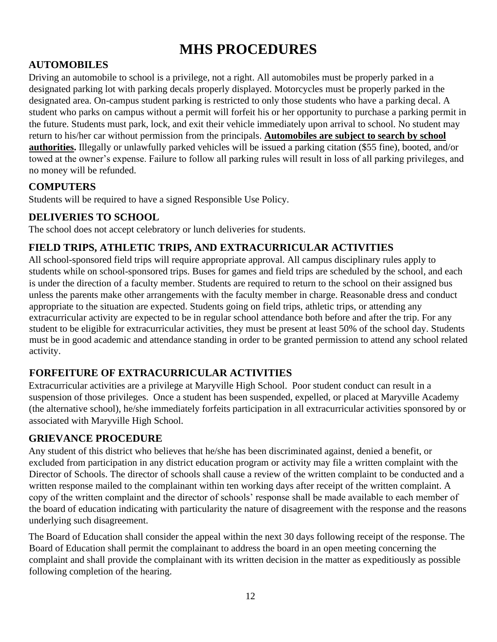# **MHS PROCEDURES**

# **AUTOMOBILES**

Driving an automobile to school is a privilege, not a right. All automobiles must be properly parked in a designated parking lot with parking decals properly displayed. Motorcycles must be properly parked in the designated area. On-campus student parking is restricted to only those students who have a parking decal. A student who parks on campus without a permit will forfeit his or her opportunity to purchase a parking permit in the future. Students must park, lock, and exit their vehicle immediately upon arrival to school. No student may return to his/her car without permission from the principals. **Automobiles are subject to search by school authorities.** Illegally or unlawfully parked vehicles will be issued a parking citation (\$55 fine), booted, and/or towed at the owner's expense. Failure to follow all parking rules will result in loss of all parking privileges, and no money will be refunded.

#### **COMPUTERS**

Students will be required to have a signed Responsible Use Policy.

# **DELIVERIES TO SCHOOL**

The school does not accept celebratory or lunch deliveries for students.

# **FIELD TRIPS, ATHLETIC TRIPS, AND EXTRACURRICULAR ACTIVITIES**

All school-sponsored field trips will require appropriate approval. All campus disciplinary rules apply to students while on school-sponsored trips. Buses for games and field trips are scheduled by the school, and each is under the direction of a faculty member. Students are required to return to the school on their assigned bus unless the parents make other arrangements with the faculty member in charge. Reasonable dress and conduct appropriate to the situation are expected. Students going on field trips, athletic trips, or attending any extracurricular activity are expected to be in regular school attendance both before and after the trip. For any student to be eligible for extracurricular activities, they must be present at least 50% of the school day. Students must be in good academic and attendance standing in order to be granted permission to attend any school related activity.

# **FORFEITURE OF EXTRACURRICULAR ACTIVITIES**

Extracurricular activities are a privilege at Maryville High School. Poor student conduct can result in a suspension of those privileges. Once a student has been suspended, expelled, or placed at Maryville Academy (the alternative school), he/she immediately forfeits participation in all extracurricular activities sponsored by or associated with Maryville High School.

#### **GRIEVANCE PROCEDURE**

Any student of this district who believes that he/she has been discriminated against, denied a benefit, or excluded from participation in any district education program or activity may file a written complaint with the Director of Schools. The director of schools shall cause a review of the written complaint to be conducted and a written response mailed to the complainant within ten working days after receipt of the written complaint. A copy of the written complaint and the director of schools' response shall be made available to each member of the board of education indicating with particularity the nature of disagreement with the response and the reasons underlying such disagreement.

The Board of Education shall consider the appeal within the next 30 days following receipt of the response. The Board of Education shall permit the complainant to address the board in an open meeting concerning the complaint and shall provide the complainant with its written decision in the matter as expeditiously as possible following completion of the hearing.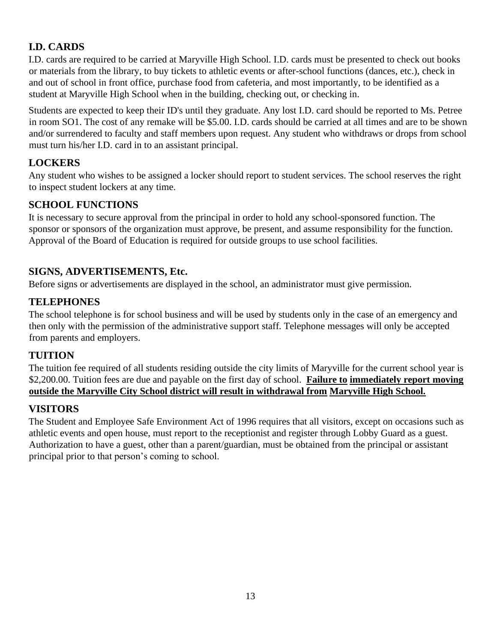# **I.D. CARDS**

I.D. cards are required to be carried at Maryville High School. I.D. cards must be presented to check out books or materials from the library, to buy tickets to athletic events or after-school functions (dances, etc.), check in and out of school in front office, purchase food from cafeteria, and most importantly, to be identified as a student at Maryville High School when in the building, checking out, or checking in.

Students are expected to keep their ID's until they graduate. Any lost I.D. card should be reported to Ms. Petree in room SO1. The cost of any remake will be \$5.00. I.D. cards should be carried at all times and are to be shown and/or surrendered to faculty and staff members upon request. Any student who withdraws or drops from school must turn his/her I.D. card in to an assistant principal.

# **LOCKERS**

Any student who wishes to be assigned a locker should report to student services. The school reserves the right to inspect student lockers at any time.

#### **SCHOOL FUNCTIONS**

It is necessary to secure approval from the principal in order to hold any school-sponsored function. The sponsor or sponsors of the organization must approve, be present, and assume responsibility for the function. Approval of the Board of Education is required for outside groups to use school facilities.

# **SIGNS, ADVERTISEMENTS, Etc.**

Before signs or advertisements are displayed in the school, an administrator must give permission.

#### **TELEPHONES**

The school telephone is for school business and will be used by students only in the case of an emergency and then only with the permission of the administrative support staff. Telephone messages will only be accepted from parents and employers.

#### **TUITION**

The tuition fee required of all students residing outside the city limits of Maryville for the current school year is \$2,200.00. Tuition fees are due and payable on the first day of school. **Failure to immediately report moving outside the Maryville City School district will result in withdrawal from Maryville High School.**

# **VISITORS**

The Student and Employee Safe Environment Act of 1996 requires that all visitors, except on occasions such as athletic events and open house, must report to the receptionist and register through Lobby Guard as a guest. Authorization to have a guest, other than a parent/guardian, must be obtained from the principal or assistant principal prior to that person's coming to school.